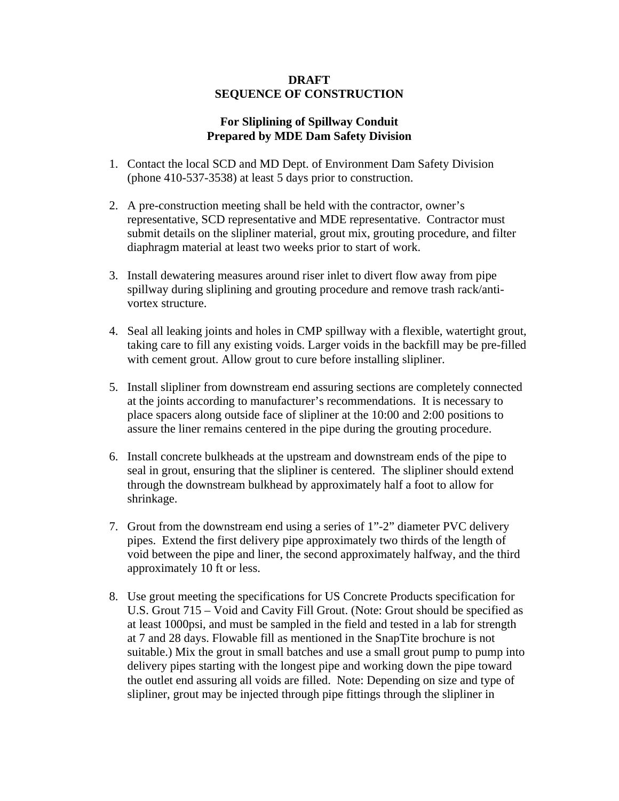## **DRAFT SEQUENCE OF CONSTRUCTION**

## **For Sliplining of Spillway Conduit Prepared by MDE Dam Safety Division**

- 1. Contact the local SCD and MD Dept. of Environment Dam Safety Division (phone 410-537-3538) at least 5 days prior to construction.
- 2. A pre-construction meeting shall be held with the contractor, owner's representative, SCD representative and MDE representative. Contractor must submit details on the slipliner material, grout mix, grouting procedure, and filter diaphragm material at least two weeks prior to start of work.
- 3. Install dewatering measures around riser inlet to divert flow away from pipe spillway during sliplining and grouting procedure and remove trash rack/antivortex structure.
- 4. Seal all leaking joints and holes in CMP spillway with a flexible, watertight grout, taking care to fill any existing voids. Larger voids in the backfill may be pre-filled with cement grout. Allow grout to cure before installing slipliner.
- 5. Install slipliner from downstream end assuring sections are completely connected at the joints according to manufacturer's recommendations. It is necessary to place spacers along outside face of slipliner at the 10:00 and 2:00 positions to assure the liner remains centered in the pipe during the grouting procedure.
- 6. Install concrete bulkheads at the upstream and downstream ends of the pipe to seal in grout, ensuring that the slipliner is centered. The slipliner should extend through the downstream bulkhead by approximately half a foot to allow for shrinkage.
- 7. Grout from the downstream end using a series of 1"-2" diameter PVC delivery pipes. Extend the first delivery pipe approximately two thirds of the length of void between the pipe and liner, the second approximately halfway, and the third approximately 10 ft or less.
- 8. Use grout meeting the specifications for US Concrete Products specification for U.S. Grout 715 – Void and Cavity Fill Grout. (Note: Grout should be specified as at least 1000psi, and must be sampled in the field and tested in a lab for strength at 7 and 28 days. Flowable fill as mentioned in the SnapTite brochure is not suitable.) Mix the grout in small batches and use a small grout pump to pump into delivery pipes starting with the longest pipe and working down the pipe toward the outlet end assuring all voids are filled. Note: Depending on size and type of slipliner, grout may be injected through pipe fittings through the slipliner in